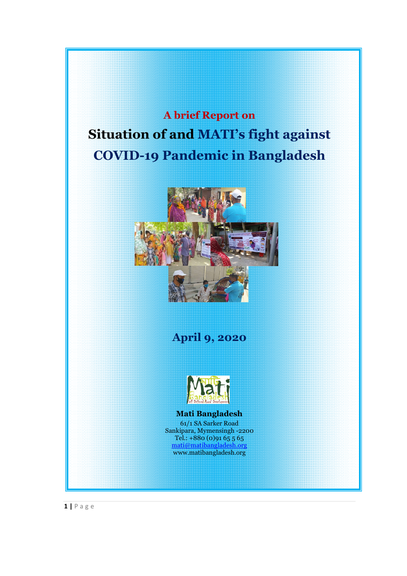**A brief Report on Situation of and MATI's fight against COVID-19 Pandemic in Bangladesh**



**April 9, 2020**



### **Mati Bangladesh**

61/1 SA Sarker Road Sankipara, Mymensingh -2200 Tel.: +880 (0)91 65 5 65 mati@matibangladesh.org www.matibangladesh.org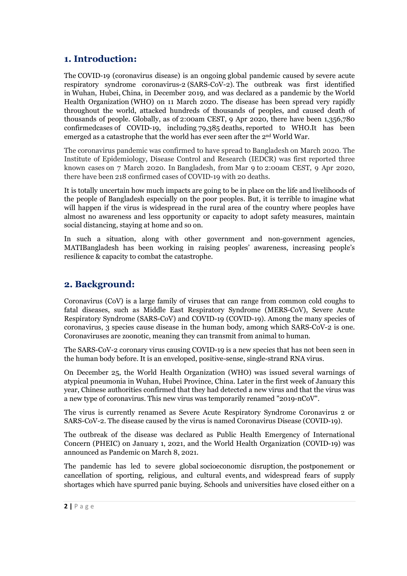# **1. Introduction:**

The COVID-19 (coronavirus disease) is an ongoing global pandemic caused by severe acute respiratory syndrome coronavirus-2 (SARS-CoV-2). Th[e outbreak was](https://en.wikipedia.org/wiki/Pandemic) fir[st identified](https://en.wikipedia.org/wiki/Severe_acute_respiratory_syndrome_coronavirus_2)  in Wuhan, Hubei, China, in December 2019, and was declared as a pandemic by the World [Health Orga](https://en.wikipedia.org/wiki/Wuhan)nization (WHO) on 11 March 2020. The disease has been spread very rapidly [throughout the](https://en.wikipedia.org/wiki/Severe_acute_respiratory_syndrome_coronavirus_2) [world, at](https://en.wikipedia.org/wiki/China)[tacked hundreds of thousands of peoples,](https://en.wikipedia.org/wiki/Severe_acute_respiratory_syndrome_coronavirus_2) and caused de[ath of](https://en.wikipedia.org/wiki/World_Health_Organization)  [thousands of people. Globally, as o](https://en.wikipedia.org/wiki/World_Health_Organization)f 2:00am CEST, 9 Apr 2020, there have been 1,356,780 confirmedcases of COVID-19, including 79,385 deaths, reported to WHO.It has been emerged as a catastrophe that the world has ever seen after the 2nd World War.

The coronavirus pandemic was confirmed to have spread to Bangladesh on March 2020. The [Institute of Epidemiology, Disease Contro](https://en.wikipedia.org/wiki/2019%E2%80%9320_coronavirus_pandemic)l and Research (IEDCR) was first reported three known cases on 7 March 2020. In Bangladesh, from Mar 9 to [2:00am CEST, 9](https://en.wikipedia.org/wiki/Bangladesh) [Apr 2020,](https://en.wikipedia.org/wiki/Institute_of_Epidemiology,_Disease_Control_and_Research)  there have been 218 confirmed cases of COVID-19 with 20 deaths.

It is totally uncertain how much impacts are going to be in place on the life and livelihoods of the people of Bangladesh especially on the poor peoples. But, it is terrible to imagine what will happen if the virus is widespread in the rural area of the country where peoples have almost no awareness and less opportunity or capacity to adopt safety measures, maintain social distancing, staying at home and so on.

In such a situation, along with other government and non-government agencies, MATIBangladesh has been working in raising peoples' awareness, increasing people's resilience & capacity to combat the catastrophe.

## **2. Background:**

Coronavirus (CoV) is a large family of viruses that can range from common cold coughs to fatal diseases, such as Middle East Respiratory Syndrome (MERS-CoV), Severe Acute Respiratory Syndrome (SARS-CoV) and COVID-19 (COVID-19). Among the many species of coronavirus, 3 species cause disease in the human body, among which SARS-CoV-2 is one. Coronaviruses are zoonotic, meaning they can transmit from animal to human.

The SARS-CoV-2 coronary virus causing COVID-19 is a new species that has not been seen in the human body before. It is an enveloped, positive-sense, single-strand RNA virus.

On December 25, the World Health Organization (WHO) was issued several warnings of atypical pneumonia in Wuhan, Hubei Province, China. Later in the first week of January this year, Chinese authorities confirmed that they had detected a new virus and that the virus was a new type of coronavirus. This new virus was temporarily renamed "2019-nCoV".

The virus is currently renamed as Severe Acute Respiratory Syndrome Coronavirus 2 or SARS-CoV-2. The disease caused by the virus is named Coronavirus Disease (COVID-19).

The outbreak of the disease was declared as Public Health Emergency of International Concern (PHEIC) on January 1, 2021, and the World Health Organization (COVID-19) was announced as Pandemic on March 8, 2021.

The pandemic has led to severe global socioeconomic disruption, the postponement or cancellation of sporting, religious, and cultural events, and widespread fears of supply shortages which have spurred panic buying. Schools and universities have closed either on a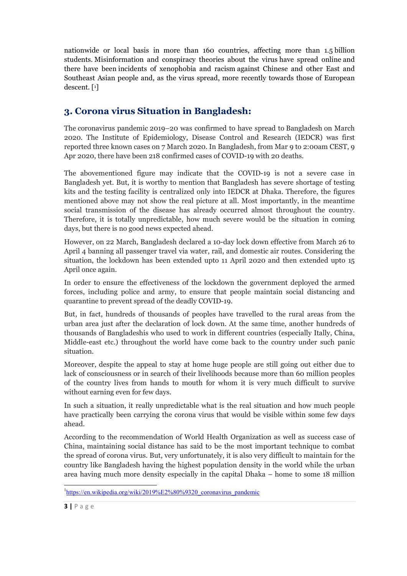nationwide or local basis in more than 160 countries, affecting more than 1.5 billion students. Misinformation and conspiracy theories about the virus have spread online and there have been incidents of xenophobia and racism [against Chinese and other East and](https://en.wikipedia.org/wiki/Misinformation_related_to_the_2019%E2%80%9320_coronavirus_pandemic)  Southeast As[ian people and, as the virus spread, more recently towards those of Eu](https://en.wikipedia.org/wiki/List_of_incidents_of_xenophobia_and_racism_related_to_the_2019%E2%80%9320_coronavirus_pandemic)ropean desc[ent. \[](https://en.wikipedia.org/wiki/2019%E2%80%9320_coronavirus_pandemic)1]

# **3. Corona virus Situation in Bangladesh:**

The coronavirus pandemic 2019–20 was confirmed to have spread to Bangladesh on March [2020. The Institute of Epidemiology, Di](https://en.wikipedia.org/wiki/2019%E2%80%9320_coronavirus_pandemic)sease Control and Research (IEDCR) was first reporte[d three known cases](https://en.wikipedia.org/wiki/Institute_of_Epidemiology,_Disease_Control_and_Research) on 7 March 2020. In Bangladesh, from Mar 9 to [2:00am CEST, 9](https://en.wikipedia.org/wiki/Bangladesh)  Apr 2020, there have been 218 confirmed cases of COVID-19 with 20 deaths.

The abovementioned figure may indicate that the COVID-19 is not a severe case in Bangladesh yet. But, it is worthy to mention that Bangladesh has severe shortage of testing kits and the testing facility is centralized only into IEDCR at Dhaka. Therefore, the figures mentioned above may not show the real picture at all. Most importantly, in the meantime social transmission of the disease has already occurred almost throughout the country. Therefore, it is totally unpredictable, how much severe would be the situation in coming days, but there is no good news expected ahead.

However, on 22 March, Bangladesh declared a 10-day lock down effective from March 26 to April 4 banning all passenger travel via water, rail, and domestic air routes. Considering the situation, the lockdown has been extended upto 11 April 2020 and then extended upto 15 April once again.

In order to ensure the effectiveness of the lockdown the government deployed the armed forces, including police and army, to ensure that people maintain social distancing and quarantine to prevent spread of the deadly COVID-19.

But, in fact, hundreds of thousands of peoples have travelled to the rural areas from the urban area just after the declaration of lock down. At the same time, another hundreds of thousands of Bangladeshis who used to work in different countries (especially Itally, China, Middle-east etc.) throughout the world have come back to the country under such panic situation.

Moreover, despite the appeal to stay at home huge people are still going out either due to lack of consciousness or in search of their livelihoods because more than 60 million peoples of the country lives from hands to mouth for whom it is very much difficult to survive without earning even for few days.

In such a situation, it really unpredictable what is the real situation and how much people have practically been carrying the corona virus that would be visible within some few days ahead.

According to the recommendation of World Health Organization as well as success case of China, maintaining social distance has said to be the most important technique to combat the spread of corona virus. But, very unfortunately, it is also very difficult to maintain for the country like Bangladesh having the highest population density in the world while the urban area having much more density especially in the capital Dhaka – home to some 18 million

 $\frac{1}{1}$ <sup>1</sup>https://en.wikipedia.org/wiki/2019%E2%80%9320 coronavirus pandemic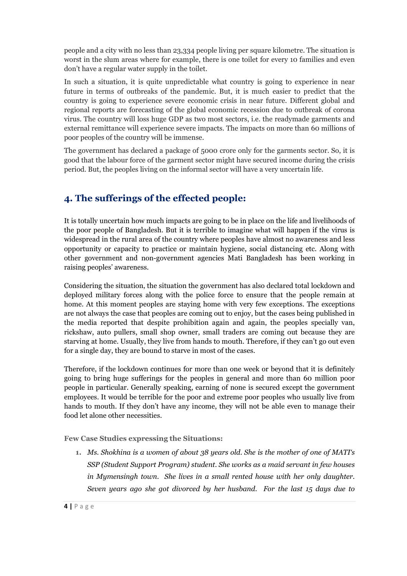people and a city with no less than 23,334 people living per square kilometre. The situation is worst in the slum areas where for example, there is one toilet for every 10 families and even don't have a regular water supply in the toilet.

In such a situation, it is quite unpredictable what country is going to experience in near future in terms of outbreaks of the pandemic. But, it is much easier to predict that the country is going to experience severe economic crisis in near future. Different global and regional reports are forecasting of the global economic recession due to outbreak of corona virus. The country will loss huge GDP as two most sectors, i.e. the readymade garments and external remittance will experience severe impacts. The impacts on more than 60 millions of poor peoples of the country will be immense.

The government has declared a package of 5000 crore only for the garments sector. So, it is good that the labour force of the garment sector might have secured income during the crisis period. But, the peoples living on the informal sector will have a very uncertain life.

# **4. The sufferings of the effected people:**

It is totally uncertain how much impacts are going to be in place on the life and livelihoods of the poor people of Bangladesh. But it is terrible to imagine what will happen if the virus is widespread in the rural area of the country where peoples have almost no awareness and less opportunity or capacity to practice or maintain hygiene, social distancing etc. Along with other government and non-government agencies Mati Bangladesh has been working in raising peoples' awareness.

Considering the situation, the situation the government has also declared total lockdown and deployed military forces along with the police force to ensure that the people remain at home. At this moment peoples are staying home with very few exceptions. The exceptions are not always the case that peoples are coming out to enjoy, but the cases being published in the media reported that despite prohibition again and again, the peoples specially van, rickshaw, auto pullers, small shop owner, small traders are coming out because they are starving at home. Usually, they live from hands to mouth. Therefore, if they can't go out even for a single day, they are bound to starve in most of the cases.

Therefore, if the lockdown continues for more than one week or beyond that it is definitely going to bring huge sufferings for the peoples in general and more than 60 million poor people in particular. Generally speaking, earning of none is secured except the government employees. It would be terrible for the poor and extreme poor peoples who usually live from hands to mouth. If they don't have any income, they will not be able even to manage their food let alone other necessities.

**Few Case Studies expressing the Situations:**

**1.** *Ms. Shokhina is a women of about 38 years old. She is the mother of one of MATI's SSP (Student Support Program) student. She works as a maid servant in few houses in Mymensingh town. She lives in a small rented house with her only daughter. Seven years ago she got divorced by her husband. For the last 15 days due to*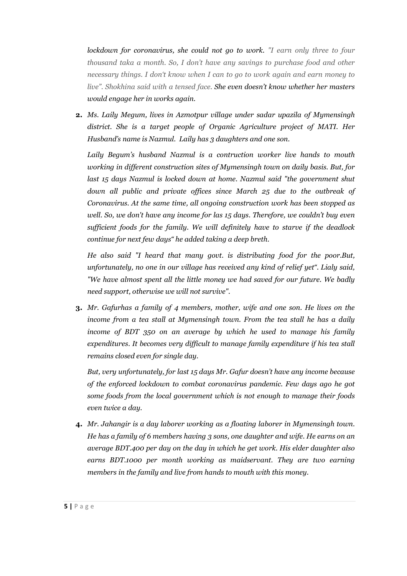*lockdown for coronavirus, she could not go to work. "I earn only three to four thousand taka a month. So, I don't have any savings to purchase food and other necessary things. I don't know when I can to go to work again and earn money to live". Shokhina said with a tensed face. She even doesn't know whether her masters would engage her in works again.* 

**2.** *Ms. Laily Megum, lives in Azmotpur village under sadar upazila of Mymensingh district. She is a target people of Organic Agriculture project of MATI. Her Husband's name is Nazmul. Laily has 3 daughters and one son.* 

*Laily Begum's husband Nazmul is a contruction worker live hands to mouth working in different construction sites of Mymensingh town on daily basis. But, for last 15 days Nazmul is locked down at home. Nazmul said "the government shut down all public and private offices since March 25 due to the outbreak of Coronavirus. At the same time, all ongoing construction work has been stopped as well. So, we don't have any income for las 15 days. Therefore, we couldn't buy even sufficient foods for the family. We will definitely have to starve if the deadlock continue for next few days" he added taking a deep breth.* 

*He also said "I heard that many govt. is distributing food for the poor.But, unfortunately, no one in our village has received any kind of relief yet". Lialy said, "We have almost spent all the little money we had saved for our future. We badly need support, otherwise we will not survive".*

**3.** *Mr. Gafurhas a family of 4 members, mother, wife and one son. He lives on the income from a tea stall at Mymensingh town. From the tea stall he has a daily income of BDT 350 on an average by which he used to manage his family expenditures. It becomes very difficult to manage family expenditure if his tea stall remains closed even for single day.* 

*But, very unfortunately, for last 15 days Mr. Gafur doesn't have any income because of the enforced lockdown to combat coronavirus pandemic. Few days ago he got some foods from the local government which is not enough to manage their foods even twice a day.* 

**4.** *Mr. Jahangir is a day laborer working as a floating laborer in Mymensingh town. He has a family of 6 members having 3 sons, one daughter and wife. He earns on an average BDT.400 per day on the day in which he get work. His elder daughter also earns BDT.1000 per month working as maidservant. They are two earning members in the family and live from hands to mouth with this money.*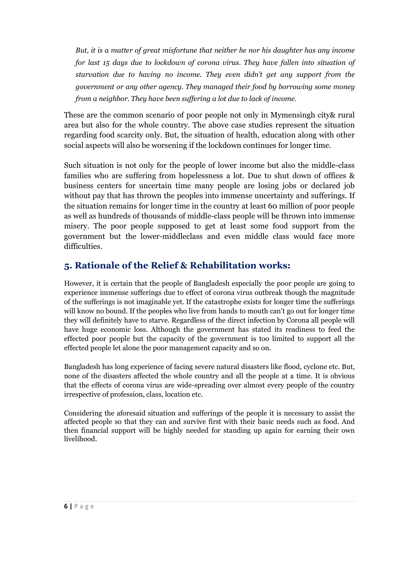*But, it is a matter of great misfortune that neither he nor his daughter has any income for last 15 days due to lockdown of corona virus. They have fallen into situation of starvation due to having no income. They even didn't get any support from the government or any other agency. They managed their food by borrowing some money from a neighbor. They have been suffering a lot due to lack of income.* 

These are the common scenario of poor people not only in Mymensingh city& rural area but also for the whole country. The above case studies represent the situation regarding food scarcity only. But, the situation of health, education along with other social aspects will also be worsening if the lockdown continues for longer time.

Such situation is not only for the people of lower income but also the middle-class families who are suffering from hopelessness a lot. Due to shut down of offices & business centers for uncertain time many people are losing jobs or declared job without pay that has thrown the peoples into immense uncertainty and sufferings. If the situation remains for longer time in the country at least 60 million of poor people as well as hundreds of thousands of middle-class people will be thrown into immense misery. The poor people supposed to get at least some food support from the government but the lower-middleclass and even middle class would face more difficulties.

# **5. Rationale of the Relief & Rehabilitation works:**

However, it is certain that the people of Bangladesh especially the poor people are going to experience immense sufferings due to effect of corona virus outbreak though the magnitude of the sufferings is not imaginable yet. If the catastrophe exists for longer time the sufferings will know no bound. If the peoples who live from hands to mouth can't go out for longer time they will definitely have to starve. Regardless of the direct infection by Corona all people will have huge economic loss. Although the government has stated its readiness to feed the effected poor people but the capacity of the government is too limited to support all the effected people let alone the poor management capacity and so on.

Bangladesh has long experience of facing severe natural disasters like flood, cyclone etc. But, none of the disasters affected the whole country and all the people at a time. It is obvious that the effects of corona virus are wide-spreading over almost every people of the country irrespective of profession, class, location etc.

Considering the aforesaid situation and sufferings of the people it is necessary to assist the affected people so that they can and survive first with their basic needs such as food. And then financial support will be highly needed for standing up again for earning their own livelihood.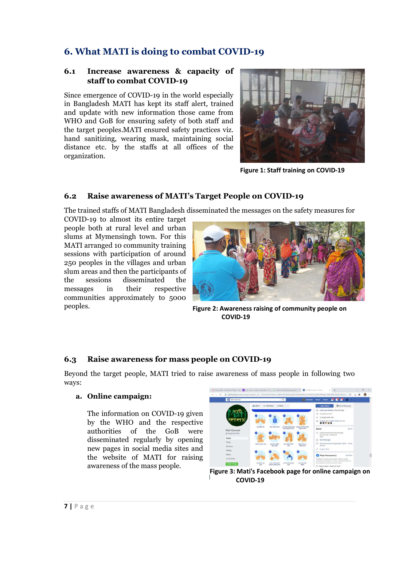# **6. What MATI is doing to combat COVID-19**

### **6.1** Increase awareness & capacity of **staff to combat COVID COVID-19**

Since emergence of COVID-19 in the world especially Since emergence of COVID-19 in the world especially<br>in Bangladesh MATI has kept its staff alert, trained and update with new information those came from WHO and GoB for ensuring safety of both staff and the target peoples.MATI ensured safety practices viz. hand sanitizing, wearing mask, maintaining social distance etc. by the staffs at all offices of the organization. GoB for ensuring safety of both staff and<br>beoples.MATI ensured safety practices viz.<br>izing, wearing mask, maintaining social<br>tc. by the staffs at all offices of the



### **6.2 Raise awareness of MATI's Target People on COVID Target People on COVID-19 19**

The trained staffs of MATI Bangladesh disseminated the messages on the safety measures for

COVID-19 to almost its entire target people both at rural level and urban slums at Mymensingh town. For this MATI arranged 10 community training sessions with participation of around 250 peoples in the villages and urban slum areas and then the participants of the sessions disseminated the messages in their respective communities approximately to 5000 peoples. nged 10 community training<br>ith participation of around<br>s in the villages and urban<br>and then the participants of<br>ions disseminated the<br>in their respective<br>es approximately to 5000



**Figure 2: Awareness raising of community people on COVID-19**

## **6.3 Raise awareness for mass people on COVID COVID-19**

ways:

#### **a. Online campaign:**

The information on COVID-19 given by the WHO and the respective authorities of the GoB were authorities of the GoB were<br>disseminated regularly by opening new pages in social media sites and the website of MATI for raising awareness of the mass people.



**Figure 3: Mati's Facebook page for online campaign on COVID-19**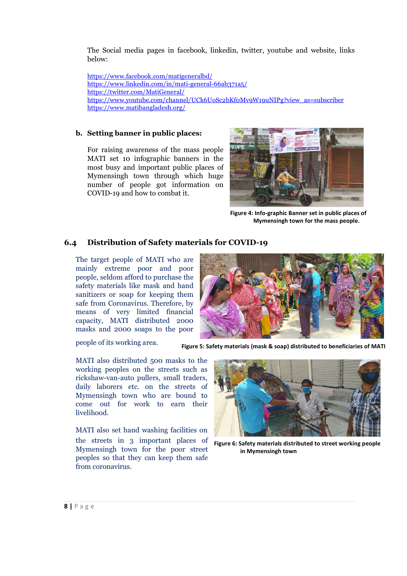The Social media pages in facebook, linkedin, twitter, youtube and website, links below:

https://www.facebook.com/matigeneralbd/ [https://www.linkedin.com/in/mati-general-66ab371a5/](https://www.facebook.com/matigeneralbd/) https://twitter.com/MatiGeneral/ [https://www.youtube.com/channel/UCk6UoSc2bKf0Mv9W1](https://twitter.com/MatiGeneral/)[9uNIPg?view\\_as=subscriber](https://www.linkedin.com/in/mati-general-66ab371a5/) [https://www.matibangladesh.org/](https://www.youtube.com/channel/UCk6UoSc2bKf0Mv9W19uNIPg?view_as=subscriber)

#### **b. Setting banner in public places:**

For raising awareness of the mass people MATI set 10 infographic banners in the most busy and important public places of Mymensingh town through which huge number of people got information on COVID-19 and how to combat it.



**Figure 4: Info-graphic Banner set in public places of Mymensingh town for the mass people.**

### **6.4 Distribution of Safety materials for COVID-19**

The target people of MATI who are mainly extreme poor and poor people, seldom afford to purchase the safety materials like mask and hand sanitizers or soap for keeping them safe from Coronavirus. Therefore, by means of very limited financial capacity, MATI distributed 2000 masks and 2000 soaps to the poor

people of its working area.



**Figure 5: Safety materials (mask & soap) distributed to beneficiaries of MATI**

MATI also distributed 500 masks to the working peoples on the streets such as rickshaw-van-auto pullers, small traders, daily laborers etc. on the streets of Mymensingh town who are bound to come out for work to earn their livelihood.

MATI also set hand washing facilities on the streets in 3 important places of Mymensingh town for the poor street peoples so that they can keep them safe from coronavirus.



**Figure 6: Safety materials distributed to street working people in Mymensingh town**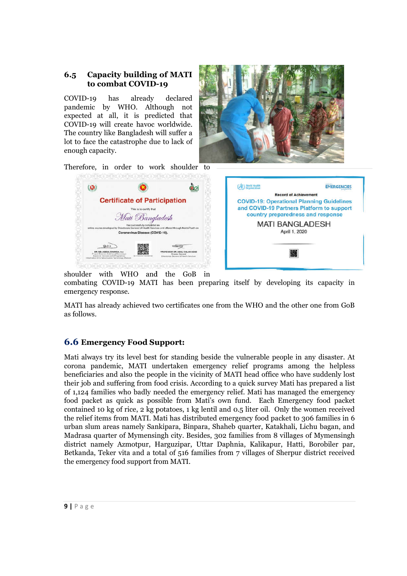### **6.5** Capacity building of MATI to combat COVID-19 **to combat COVID-**

COVID-19 has already declared pandemic by WHO. Although not expected at all, it is predicted that COVID-19 will create havoc worldwide. The country like Bangladesh will suffer a lot to face the catastrophe due enough capacity. 0-19 has already declared<br>mic by WHO. Although not<br>ted at all, it is predicted that<br>0-19 will create havoc worldwide.<br>buntry like Bangladesh will suffer a<br>face the catastrophe due to lack of



Therefore, in order to work shoulder to

|                                                                                                         |                                                                                                                                                                         | <b>Record of Achievemer</b>                                                                     |
|---------------------------------------------------------------------------------------------------------|-------------------------------------------------------------------------------------------------------------------------------------------------------------------------|-------------------------------------------------------------------------------------------------|
|                                                                                                         | <b>Certificate of Participation</b><br>This is to certify that<br>Mati Bangladesh                                                                                       | <b>COVID-19: Operational Planni</b><br>and COVID-19 Partners Platfo<br>country preparedness and |
|                                                                                                         | has successfully completed an<br>online course developed by Directorate General of Health Services and offered through MuktoPaath on<br>Coronavirus Disease (COVID-19). | <b>MATI BANGLAD</b><br>April 1, 2020                                                            |
| DR. MD. ADDUL MANNAN, PAA<br>and Director theirbiried Secretary.<br>leine for Innoviets (s21) Programma | SOR DR. ABUL KALAM AZAD<br><b>Stephen Serveral</b><br>Welchniche General of Health Services<br>migmetter & Communication Technology Division                            |                                                                                                 |



shoulder with WHO and the GoB in combating COVID-19 MATI has been preparing itself by developing its capacity in emergency response.

MATI has already achieved two certificates one from the WHO and the other one from GoB as follows. MATI has already achieved two certificates one from the WHO and the other one from GoB<br>as follows.<br>**6.6 Emergency Food Support:**<br>Mati always try its level best for standing beside the vulnerable people in any disaster. At

## **6.6 Emergency Food Support Support:**

corona pandemic, MATI undertaken emergency relief programs among the helpless beneficiaries and also the people in the vicinity of MATI head office who have suddenly lost their job and suffering from food crisis. According to a quick survey Mati has prepared a list of 1,124 families who badly needed the emergency relief. Mati has managed the emer emergency food packet as quick as possible from Mati's own fund. Each Emergency food packet contained 10 kg of rice,  $2 \text{ kg}$  potatoes, 1 kg lentil and 0.5 liter oil. Only the women received the relief items from MATI. Mati has distributed emergency food packet to 306 families in 6 food packet as quick as possible from Mati's own fund. Each Emergency food packet<br>contained 10 kg of rice, 2 kg potatoes, 1 kg lentil and 0.5 liter oil. Only the women received<br>the relief items from MATI. Mati has distribu Madrasa quarter of Mymensingh city. Besides, 302 families from 8 villages of Mymensingh district namely Azmotpur, Harguzipar, Uttar Daphnia, Kalikapur, Hatti, Borobiler par, district namely Azmotpur, Harguzipar, Uttar Daphnia, Kalikapur, Hatti, Borobiler par,<br>Betkanda, Teker vita and a total of 516 families from 7 villages of Sherpur district received the emergency food support from MATI MATI.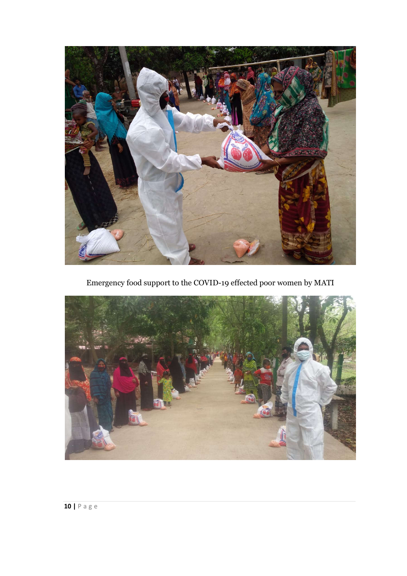

Emergency food support to the COVID-19 effected poor women by MATI